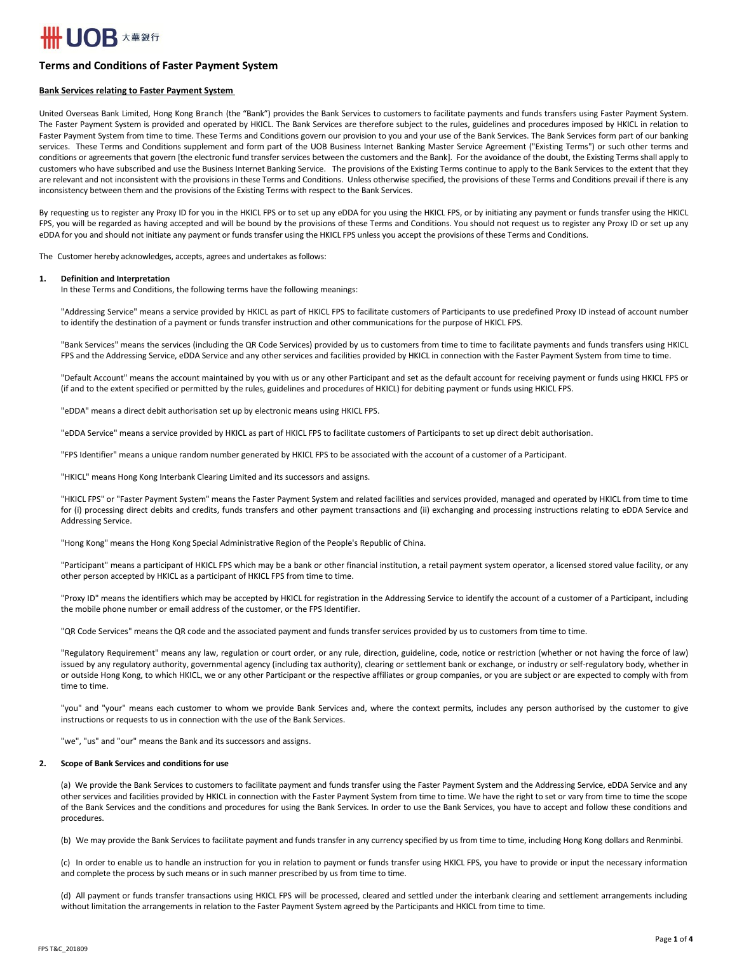# **IOB** 大華銀行

# **Terms and Conditions of Faster Payment System**

# **Bank Services relating to Faster Payment System**

United Overseas Bank Limited, Hong Kong Branch (the "Bank") provides the Bank Services to customers to facilitate payments and funds transfers using Faster Payment System. The Faster Payment System is provided and operated by HKICL. The Bank Services are therefore subject to the rules, guidelines and procedures imposed by HKICL in relation to Faster Payment System from time to time. These Terms and Conditions govern our provision to you and your use of the Bank Services. The Bank Services form part of our banking services. These Terms and Conditions supplement and form part of the UOB Business Internet Banking Master Service Agreement ("Existing Terms") or such other terms and conditions or agreements that govern [the electronic fund transfer services between the customers and the Bank]. For the avoidance of the doubt, the Existing Terms shall apply to customers who have subscribed and use the Business Internet Banking Service. The provisions of the Existing Terms continue to apply to the Bank Services to the extent that they are relevant and not inconsistent with the provisions in these Terms and Conditions. Unless otherwise specified, the provisions of these Terms and Conditions prevail if there is any inconsistency between them and the provisions of the Existing Terms with respect to the Bank Services.

By requesting us to register any Proxy ID for you in the HKICL FPS or to set up any eDDA for you using the HKICL FPS, or by initiating any payment or funds transfer using the HKICL FPS, you will be regarded as having accepted and will be bound by the provisions of these Terms and Conditions. You should not request us to register any Proxy ID or set up any eDDA for you and should not initiate any payment or funds transfer using the HKICL FPS unless you accept the provisions of these Terms and Conditions.

The Customer hereby acknowledges, accepts, agrees and undertakes as follows:

# **1. Definition and Interpretation**

In these Terms and Conditions, the following terms have the following meanings:

"Addressing Service" means a service provided by HKICL as part of HKICL FPS to facilitate customers of Participants to use predefined Proxy ID instead of account number to identify the destination of a payment or funds transfer instruction and other communications for the purpose of HKICL FPS.

"Bank Services" means the services (including the QR Code Services) provided by us to customers from time to time to facilitate payments and funds transfers using HKICL FPS and the Addressing Service, eDDA Service and any other services and facilities provided by HKICL in connection with the Faster Payment System from time to time.

"Default Account" means the account maintained by you with us or any other Participant and set as the default account for receiving payment or funds using HKICL FPS or (if and to the extent specified or permitted by the rules, guidelines and procedures of HKICL) for debiting payment or funds using HKICL FPS.

"eDDA" means a direct debit authorisation set up by electronic means using HKICL FPS.

"eDDA Service" means a service provided by HKICL as part of HKICL FPS to facilitate customers of Participants to set up direct debit authorisation.

"FPS Identifier" means a unique random number generated by HKICL FPS to be associated with the account of a customer of a Participant.

"HKICL" means Hong Kong Interbank Clearing Limited and its successors and assigns.

"HKICL FPS" or "Faster Payment System" means the Faster Payment System and related facilities and services provided, managed and operated by HKICL from time to time for (i) processing direct debits and credits, funds transfers and other payment transactions and (ii) exchanging and processing instructions relating to eDDA Service and Addressing Service.

"Hong Kong" means the Hong Kong Special Administrative Region of the People's Republic of China.

"Participant" means a participant of HKICL FPS which may be a bank or other financial institution, a retail payment system operator, a licensed stored value facility, or any other person accepted by HKICL as a participant of HKICL FPS from time to time.

"Proxy ID" means the identifiers which may be accepted by HKICL for registration in the Addressing Service to identify the account of a customer of a Participant, including the mobile phone number or email address of the customer, or the FPS Identifier.

"QR Code Services" means the QR code and the associated payment and funds transfer services provided by us to customers from time to time.

"Regulatory Requirement" means any law, regulation or court order, or any rule, direction, guideline, code, notice or restriction (whether or not having the force of law) issued by any regulatory authority, governmental agency (including tax authority), clearing or settlement bank or exchange, or industry or self-regulatory body, whether in or outside Hong Kong, to which HKICL, we or any other Participant or the respective affiliates or group companies, or you are subject or are expected to comply with from time to time.

"you" and "your" means each customer to whom we provide Bank Services and, where the context permits, includes any person authorised by the customer to give instructions or requests to us in connection with the use of the Bank Services.

"we", "us" and "our" means the Bank and its successors and assigns.

# **2. Scope of Bank Services and conditions for use**

(a) We provide the Bank Services to customers to facilitate payment and funds transfer using the Faster Payment System and the Addressing Service, eDDA Service and any other services and facilities provided by HKICL in connection with the Faster Payment System from time to time. We have the right to set or vary from time to time the scope of the Bank Services and the conditions and procedures for using the Bank Services. In order to use the Bank Services, you have to accept and follow these conditions and procedures.

(b) We may provide the Bank Services to facilitate payment and funds transfer in any currency specified by us from time to time, including Hong Kong dollars and Renminbi.

(c) In order to enable us to handle an instruction for you in relation to payment or funds transfer using HKICL FPS, you have to provide or input the necessary information and complete the process by such means or in such manner prescribed by us from time to time.

(d) All payment or funds transfer transactions using HKICL FPS will be processed, cleared and settled under the interbank clearing and settlement arrangements including without limitation the arrangements in relation to the Faster Payment System agreed by the Participants and HKICL from time to time.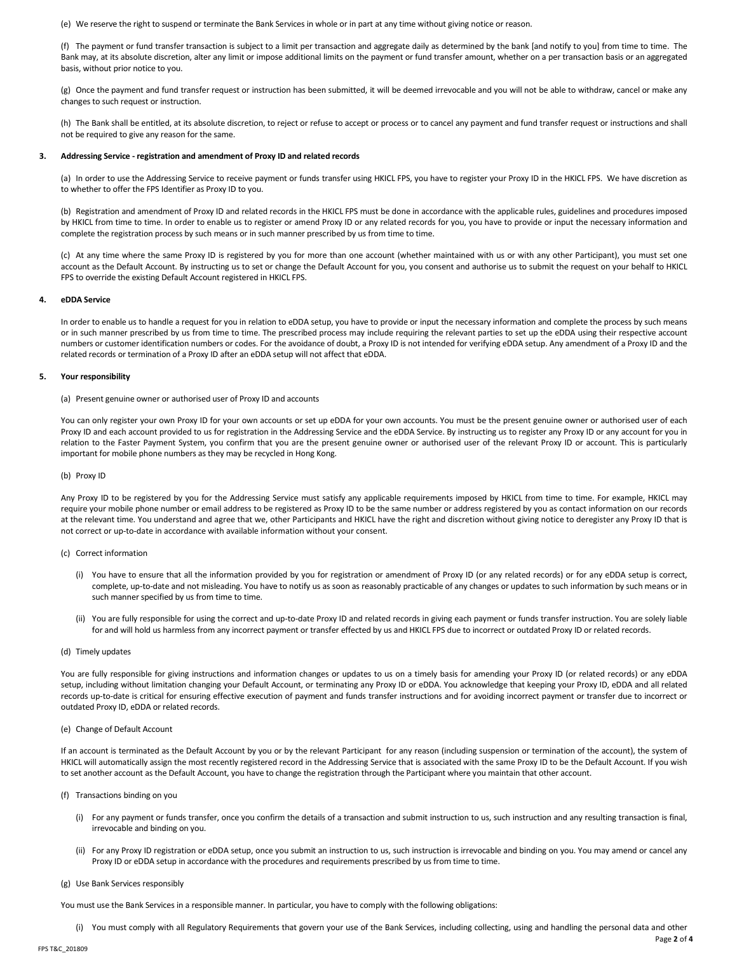(e) We reserve the right to suspend or terminate the Bank Services in whole or in part at any time without giving notice or reason.

(f) The payment or fund transfer transaction is subject to a limit per transaction and aggregate daily as determined by the bank [and notify to you] from time to time. The Bank may, at its absolute discretion, alter any limit or impose additional limits on the payment or fund transfer amount, whether on a per transaction basis or an aggregated basis, without prior notice to you.

(g) Once the payment and fund transfer request or instruction has been submitted, it will be deemed irrevocable and you will not be able to withdraw, cancel or make any changes to such request or instruction.

(h) The Bank shall be entitled, at its absolute discretion, to reject or refuse to accept or process or to cancel any payment and fund transfer request or instructions and shall not be required to give any reason for the same.

# **3. Addressing Service - registration and amendment of Proxy ID and related records**

(a) In order to use the Addressing Service to receive payment or funds transfer using HKICL FPS, you have to register your Proxy ID in the HKICL FPS. We have discretion as to whether to offer the FPS Identifier as Proxy ID to you.

(b) Registration and amendment of Proxy ID and related records in the HKICL FPS must be done in accordance with the applicable rules, guidelines and procedures imposed by HKICL from time to time. In order to enable us to register or amend Proxy ID or any related records for you, you have to provide or input the necessary information and complete the registration process by such means or in such manner prescribed by us from time to time.

(c) At any time where the same Proxy ID is registered by you for more than one account (whether maintained with us or with any other Participant), you must set one account as the Default Account. By instructing us to set or change the Default Account for you, you consent and authorise us to submit the request on your behalf to HKICL FPS to override the existing Default Account registered in HKICL FPS.

# **4. eDDA Service**

In order to enable us to handle a request for you in relation to eDDA setup, you have to provide or input the necessary information and complete the process by such means or in such manner prescribed by us from time to time. The prescribed process may include requiring the relevant parties to set up the eDDA using their respective account numbers or customer identification numbers or codes. For the avoidance of doubt, a Proxy ID is not intended for verifying eDDA setup. Any amendment of a Proxy ID and the related records or termination of a Proxy ID after an eDDA setup will not affect that eDDA.

# **5. Your responsibility**

# (a) Present genuine owner or authorised user of Proxy ID and accounts

You can only register your own Proxy ID for your own accounts or set up eDDA for your own accounts. You must be the present genuine owner or authorised user of each Proxy ID and each account provided to us for registration in the Addressing Service and the eDDA Service. By instructing us to register any Proxy ID or any account for you in relation to the Faster Payment System, you confirm that you are the present genuine owner or authorised user of the relevant Proxy ID or account. This is particularly important for mobile phone numbers as they may be recycled in Hong Kong.

# (b) Proxy ID

Any Proxy ID to be registered by you for the Addressing Service must satisfy any applicable requirements imposed by HKICL from time to time. For example, HKICL may require your mobile phone number or email address to be registered as Proxy ID to be the same number or address registered by you as contact information on our records at the relevant time. You understand and agree that we, other Participants and HKICL have the right and discretion without giving notice to deregister any Proxy ID that is not correct or up-to-date in accordance with available information without your consent.

# (c) Correct information

- (i) You have to ensure that all the information provided by you for registration or amendment of Proxy ID (or any related records) or for any eDDA setup is correct, complete, up-to-date and not misleading. You have to notify us as soon as reasonably practicable of any changes or updates to such information by such means or in such manner specified by us from time to time.
- (ii) You are fully responsible for using the correct and up-to-date Proxy ID and related records in giving each payment or funds transfer instruction. You are solely liable for and will hold us harmless from any incorrect payment or transfer effected by us and HKICL FPS due to incorrect or outdated Proxy ID or related records.

# (d) Timely updates

You are fully responsible for giving instructions and information changes or updates to us on a timely basis for amending your Proxy ID (or related records) or any eDDA setup, including without limitation changing your Default Account, or terminating any Proxy ID or eDDA. You acknowledge that keeping your Proxy ID, eDDA and all related records up-to-date is critical for ensuring effective execution of payment and funds transfer instructions and for avoiding incorrect payment or transfer due to incorrect or outdated Proxy ID, eDDA or related records.

# (e) Change of Default Account

If an account is terminated as the Default Account by you or by the relevant Participant for any reason (including suspension or termination of the account), the system of HKICL will automatically assign the most recently registered record in the Addressing Service that is associated with the same Proxy ID to be the Default Account. If you wish to set another account as the Default Account, you have to change the registration through the Participant where you maintain that other account.

- (f) Transactions binding on you
	- (i) For any payment or funds transfer, once you confirm the details of a transaction and submit instruction to us, such instruction and any resulting transaction is final, irrevocable and binding on you.
	- (ii) For any Proxy ID registration or eDDA setup, once you submit an instruction to us, such instruction is irrevocable and binding on you. You may amend or cancel any Proxy ID or eDDA setup in accordance with the procedures and requirements prescribed by us from time to time.

# (g) Use Bank Services responsibly

You must use the Bank Services in a responsible manner. In particular, you have to comply with the following obligations:

(i) You must comply with all Regulatory Requirements that govern your use of the Bank Services, including collecting, using and handling the personal data and other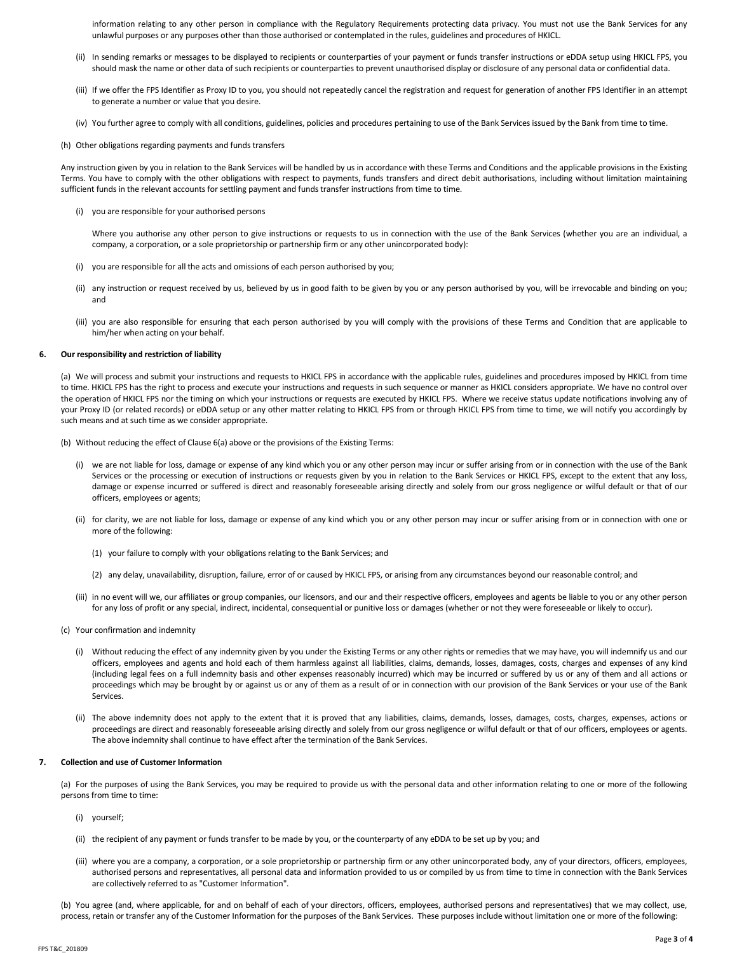information relating to any other person in compliance with the Regulatory Requirements protecting data privacy. You must not use the Bank Services for any unlawful purposes or any purposes other than those authorised or contemplated in the rules, guidelines and procedures of HKICL.

- (ii) In sending remarks or messages to be displayed to recipients or counterparties of your payment or funds transfer instructions or eDDA setup using HKICL FPS, you should mask the name or other data of such recipients or counterparties to prevent unauthorised display or disclosure of any personal data or confidential data.
- (iii) If we offer the FPS Identifier as Proxy ID to you, you should not repeatedly cancel the registration and request for generation of another FPS Identifier in an attempt to generate a number or value that you desire.
- (iv) You further agree to comply with all conditions, guidelines, policies and procedures pertaining to use of the Bank Services issued by the Bank from time to time.
- (h) Other obligations regarding payments and funds transfers

Any instruction given by you in relation to the Bank Services will be handled by us in accordance with these Terms and Conditions and the applicable provisions in the Existing Terms. You have to comply with the other obligations with respect to payments, funds transfers and direct debit authorisations, including without limitation maintaining sufficient funds in the relevant accounts for settling payment and funds transfer instructions from time to time.

(i) you are responsible for your authorised persons

Where you authorise any other person to give instructions or requests to us in connection with the use of the Bank Services (whether you are an individual, a company, a corporation, or a sole proprietorship or partnership firm or any other unincorporated body):

- (i) you are responsible for all the acts and omissions of each person authorised by you;
- (ii) any instruction or request received by us, believed by us in good faith to be given by you or any person authorised by you, will be irrevocable and binding on you; and
- (iii) you are also responsible for ensuring that each person authorised by you will comply with the provisions of these Terms and Condition that are applicable to him/her when acting on your behalf.

# **6. Our responsibility and restriction of liability**

(a) We will process and submit your instructions and requests to HKICL FPS in accordance with the applicable rules, guidelines and procedures imposed by HKICL from time to time. HKICL FPS has the right to process and execute your instructions and requests in such sequence or manner as HKICL considers appropriate. We have no control over the operation of HKICL FPS nor the timing on which your instructions or requests are executed by HKICL FPS. Where we receive status update notifications involving any of your Proxy ID (or related records) or eDDA setup or any other matter relating to HKICL FPS from or through HKICL FPS from time to time, we will notify you accordingly by such means and at such time as we consider appropriate.

(b) Without reducing the effect of Clause 6(a) above or the provisions of the Existing Terms:

- (i) we are not liable for loss, damage or expense of any kind which you or any other person may incur or suffer arising from or in connection with the use of the Bank Services or the processing or execution of instructions or requests given by you in relation to the Bank Services or HKICL FPS, except to the extent that any loss, damage or expense incurred or suffered is direct and reasonably foreseeable arising directly and solely from our gross negligence or wilful default or that of our officers, employees or agents;
- (ii) for clarity, we are not liable for loss, damage or expense of any kind which you or any other person may incur or suffer arising from or in connection with one or more of the following:
	- (1) your failure to comply with your obligations relating to the Bank Services; and
	- (2) any delay, unavailability, disruption, failure, error of or caused by HKICL FPS, or arising from any circumstances beyond our reasonable control; and
- (iii) in no event will we, our affiliates or group companies, our licensors, and our and their respective officers, employees and agents be liable to you or any other person for any loss of profit or any special, indirect, incidental, consequential or punitive loss or damages (whether or not they were foreseeable or likely to occur).
- (c) Your confirmation and indemnity
	- (i) Without reducing the effect of any indemnity given by you under the Existing Terms or any other rights or remedies that we may have, you will indemnify us and our officers, employees and agents and hold each of them harmless against all liabilities, claims, demands, losses, damages, costs, charges and expenses of any kind (including legal fees on a full indemnity basis and other expenses reasonably incurred) which may be incurred or suffered by us or any of them and all actions or proceedings which may be brought by or against us or any of them as a result of or in connection with our provision of the Bank Services or your use of the Bank Services.
	- (ii) The above indemnity does not apply to the extent that it is proved that any liabilities, claims, demands, losses, damages, costs, charges, expenses, actions or proceedings are direct and reasonably foreseeable arising directly and solely from our gross negligence or wilful default or that of our officers, employees or agents. The above indemnity shall continue to have effect after the termination of the Bank Services.

# **7. Collection and use of Customer Information**

(a) For the purposes of using the Bank Services, you may be required to provide us with the personal data and other information relating to one or more of the following persons from time to time:

- (i) yourself;
- (ii) the recipient of any payment or funds transfer to be made by you, or the counterparty of any eDDA to be set up by you; and
- (iii) where you are a company, a corporation, or a sole proprietorship or partnership firm or any other unincorporated body, any of your directors, officers, employees, authorised persons and representatives, all personal data and information provided to us or compiled by us from time to time in connection with the Bank Services are collectively referred to as "Customer Information".
- (b) You agree (and, where applicable, for and on behalf of each of your directors, officers, employees, authorised persons and representatives) that we may collect, use, process, retain or transfer any of the Customer Information for the purposes of the Bank Services. These purposes include without limitation one or more of the following: